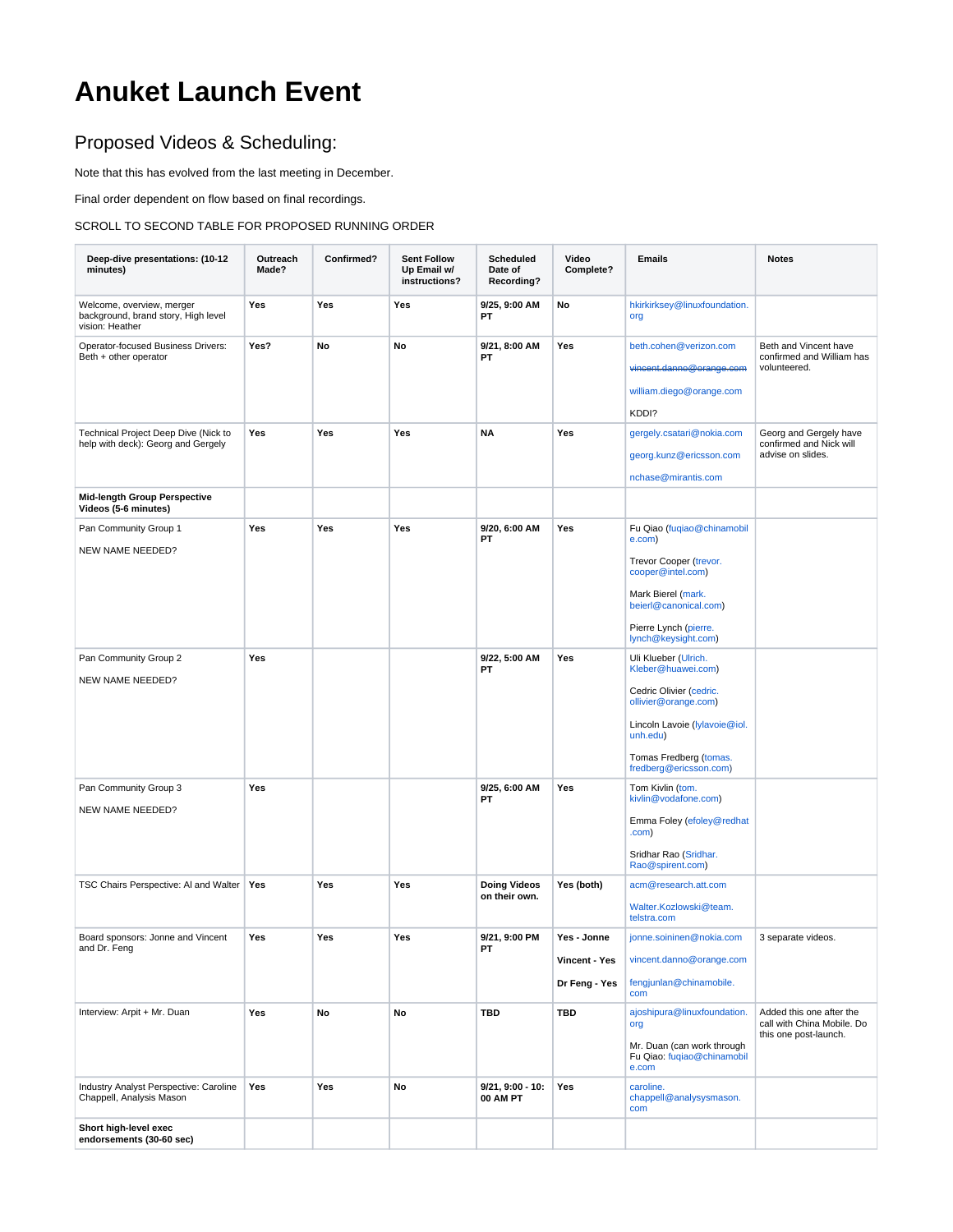# **Anuket Launch Event**

## Proposed Videos & Scheduling:

Note that this has evolved from the last meeting in December.

Final order dependent on flow based on final recordings.

#### SCROLL TO SECOND TABLE FOR PROPOSED RUNNING ORDER

| Deep-dive presentations: (10-12<br>minutes)                                         | Outreach<br>Made? | Confirmed? | <b>Sent Follow</b><br>Up Email w/<br>instructions? | Scheduled<br>Date of<br>Recording?   | Video<br>Complete?                            | <b>Emails</b>                                                                                                                                                                                  | <b>Notes</b>                                                                    |
|-------------------------------------------------------------------------------------|-------------------|------------|----------------------------------------------------|--------------------------------------|-----------------------------------------------|------------------------------------------------------------------------------------------------------------------------------------------------------------------------------------------------|---------------------------------------------------------------------------------|
| Welcome, overview, merger<br>background, brand story, High level<br>vision: Heather | Yes               | Yes        | Yes                                                | 9/25, 9:00 AM<br>PT                  | No                                            | hkirkirksey@linuxfoundation.<br>org                                                                                                                                                            |                                                                                 |
| Operator-focused Business Drivers:<br>Beth + other operator                         | Yes?              | No         | No                                                 | 9/21, 8:00 AM<br>PT                  | Yes                                           | beth.cohen@verizon.com<br>william.diego@orange.com                                                                                                                                             | Beth and Vincent have<br>confirmed and William has<br>volunteered.              |
| Technical Project Deep Dive (Nick to<br>help with deck): Georg and Gergely          | Yes               | Yes        | Yes                                                | <b>NA</b>                            | Yes                                           | KDDI?<br>gergely.csatari@nokia.com<br>georg.kunz@ericsson.com<br>nchase@mirantis.com                                                                                                           | Georg and Gergely have<br>confirmed and Nick will<br>advise on slides.          |
| <b>Mid-length Group Perspective</b><br>Videos (5-6 minutes)                         |                   |            |                                                    |                                      |                                               |                                                                                                                                                                                                |                                                                                 |
| Pan Community Group 1<br>NEW NAME NEEDED?                                           | Yes               | Yes        | Yes                                                | 9/20, 6:00 AM<br>PT                  | Yes                                           | Fu Qiao (fuqiao@chinamobil<br>e.com)<br>Trevor Cooper (trevor.<br>cooper@intel.com)<br>Mark Bierel (mark.<br>beierl@canonical.com)<br>Pierre Lynch (pierre.<br>lynch@keysight.com)             |                                                                                 |
| Pan Community Group 2<br>NEW NAME NEEDED?                                           | Yes               |            |                                                    | 9/22, 5:00 AM<br>PT                  | Yes                                           | Uli Klueber (Ulrich.<br>Kleber@huawei.com)<br>Cedric Olivier (cedric.<br>ollivier@orange.com)<br>Lincoln Lavoie (lylavoie@iol.<br>unh.edu)<br>Tomas Fredberg (tomas.<br>fredberg@ericsson.com) |                                                                                 |
| Pan Community Group 3<br>NEW NAME NEEDED?                                           | Yes               |            |                                                    | 9/25, 6:00 AM<br>PT                  | Yes                                           | Tom Kivlin (tom.<br>kivlin@vodafone.com)<br>Emma Foley (efoley@redhat<br>.com)<br>Sridhar Rao (Sridhar.<br>Rao@spirent.com)                                                                    |                                                                                 |
| TSC Chairs Perspective: AI and Walter                                               | Yes               | Yes        | Yes                                                | <b>Doing Videos</b><br>on their own. | Yes (both)                                    | acm@research.att.com<br>Walter.Kozlowski@team.<br>telstra.com                                                                                                                                  |                                                                                 |
| Board sponsors: Jonne and Vincent<br>and Dr. Feng                                   | Yes               | Yes        | Yes                                                | 9/21, 9:00 PM<br>PT                  | Yes - Jonne<br>Vincent - Yes<br>Dr Feng - Yes | jonne.soininen@nokia.com<br>vincent.danno@orange.com<br>fengjunlan@chinamobile.<br>com                                                                                                         | 3 separate videos.                                                              |
| Interview: Arpit + Mr. Duan                                                         | Yes               | No         | No                                                 | TBD                                  | <b>TBD</b>                                    | ajoshipura@linuxfoundation.<br>org<br>Mr. Duan (can work through<br>Fu Qiao: fugiao@chinamobil<br>e.com                                                                                        | Added this one after the<br>call with China Mobile. Do<br>this one post-launch. |
| Industry Analyst Perspective: Caroline<br>Chappell, Analysis Mason                  | Yes               | Yes        | No                                                 | $9/21, 9:00 - 10:$<br>00 AM PT       | Yes                                           | caroline.<br>chappell@analysysmason.<br>com                                                                                                                                                    |                                                                                 |
| Short high-level exec<br>endorsements (30-60 sec)                                   |                   |            |                                                    |                                      |                                               |                                                                                                                                                                                                |                                                                                 |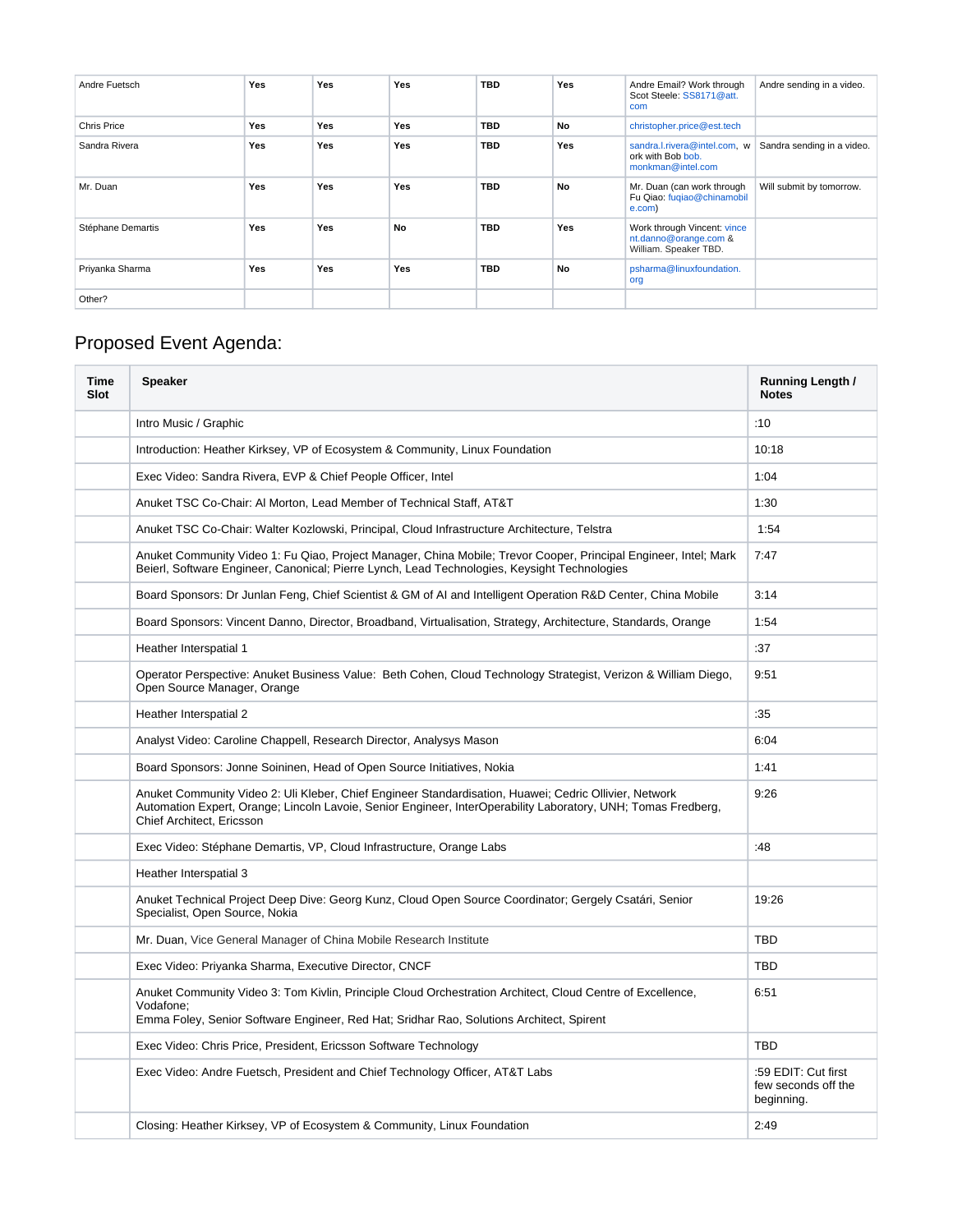| Andre Fuetsch     | Yes        | <b>Yes</b> | Yes | <b>TBD</b> | Yes | Andre Email? Work through<br>Scot Steele: SS8171@att.<br>com                  | Andre sending in a video.  |
|-------------------|------------|------------|-----|------------|-----|-------------------------------------------------------------------------------|----------------------------|
| Chris Price       | <b>Yes</b> | <b>Yes</b> | Yes | <b>TBD</b> | No  | christopher.price@est.tech                                                    |                            |
| Sandra Rivera     | <b>Yes</b> | <b>Yes</b> | Yes | <b>TBD</b> | Yes | sandra.l.rivera@intel.com, w<br>ork with Bob bob.<br>monkman@intel.com        | Sandra sending in a video. |
| Mr. Duan          | <b>Yes</b> | <b>Yes</b> | Yes | <b>TBD</b> | No  | Mr. Duan (can work through<br>Fu Qiao: fuqiao@chinamobil<br>e.com)            | Will submit by tomorrow.   |
| Stéphane Demartis | <b>Yes</b> | <b>Yes</b> | No  | <b>TBD</b> | Yes | Work through Vincent: vince<br>nt.danno@orange.com &<br>William. Speaker TBD. |                            |
| Priyanka Sharma   | <b>Yes</b> | <b>Yes</b> | Yes | <b>TBD</b> | No  | psharma@linuxfoundation.<br>org                                               |                            |
| Other?            |            |            |     |            |     |                                                                               |                            |

# Proposed Event Agenda:

| Time<br><b>Slot</b> | <b>Speaker</b>                                                                                                                                                                                                                                       | Running Length /<br><b>Notes</b>                         |
|---------------------|------------------------------------------------------------------------------------------------------------------------------------------------------------------------------------------------------------------------------------------------------|----------------------------------------------------------|
|                     | Intro Music / Graphic                                                                                                                                                                                                                                | :10                                                      |
|                     | Introduction: Heather Kirksey, VP of Ecosystem & Community, Linux Foundation                                                                                                                                                                         | 10:18                                                    |
|                     | Exec Video: Sandra Rivera, EVP & Chief People Officer, Intel                                                                                                                                                                                         | 1:04                                                     |
|                     | Anuket TSC Co-Chair: Al Morton, Lead Member of Technical Staff, AT&T                                                                                                                                                                                 | 1:30                                                     |
|                     | Anuket TSC Co-Chair: Walter Kozlowski, Principal, Cloud Infrastructure Architecture, Telstra                                                                                                                                                         | 1:54                                                     |
|                     | Anuket Community Video 1: Fu Qiao, Project Manager, China Mobile; Trevor Cooper, Principal Engineer, Intel; Mark<br>Beierl, Software Engineer, Canonical; Pierre Lynch, Lead Technologies, Keysight Technologies                                     | 7:47                                                     |
|                     | Board Sponsors: Dr Junlan Feng, Chief Scientist & GM of AI and Intelligent Operation R&D Center, China Mobile                                                                                                                                        | 3:14                                                     |
|                     | Board Sponsors: Vincent Danno, Director, Broadband, Virtualisation, Strategy, Architecture, Standards, Orange                                                                                                                                        | 1:54                                                     |
|                     | Heather Interspatial 1                                                                                                                                                                                                                               | :37                                                      |
|                     | Operator Perspective: Anuket Business Value: Beth Cohen, Cloud Technology Strategist, Verizon & William Diego,<br>Open Source Manager, Orange                                                                                                        | 9:51                                                     |
|                     | Heather Interspatial 2                                                                                                                                                                                                                               | :35                                                      |
|                     | Analyst Video: Caroline Chappell, Research Director, Analysys Mason                                                                                                                                                                                  | 6:04                                                     |
|                     | Board Sponsors: Jonne Soininen, Head of Open Source Initiatives, Nokia                                                                                                                                                                               | 1:41                                                     |
|                     | Anuket Community Video 2: Uli Kleber, Chief Engineer Standardisation, Huawei; Cedric Ollivier, Network<br>Automation Expert, Orange; Lincoln Lavoie, Senior Engineer, InterOperability Laboratory, UNH; Tomas Fredberg,<br>Chief Architect, Ericsson | 9:26                                                     |
|                     | Exec Video: Stéphane Demartis, VP, Cloud Infrastructure, Orange Labs                                                                                                                                                                                 | :48                                                      |
|                     | Heather Interspatial 3                                                                                                                                                                                                                               |                                                          |
|                     | Anuket Technical Project Deep Dive: Georg Kunz, Cloud Open Source Coordinator; Gergely Csatári, Senior<br>Specialist, Open Source, Nokia                                                                                                             | 19:26                                                    |
|                     | Mr. Duan, Vice General Manager of China Mobile Research Institute                                                                                                                                                                                    | <b>TBD</b>                                               |
|                     | Exec Video: Priyanka Sharma, Executive Director, CNCF                                                                                                                                                                                                | <b>TBD</b>                                               |
|                     | Anuket Community Video 3: Tom Kivlin, Principle Cloud Orchestration Architect, Cloud Centre of Excellence,<br>Vodafone:<br>Emma Foley, Senior Software Engineer, Red Hat; Sridhar Rao, Solutions Architect, Spirent                                  | 6:51                                                     |
|                     | Exec Video: Chris Price, President, Ericsson Software Technology                                                                                                                                                                                     | <b>TBD</b>                                               |
|                     | Exec Video: Andre Fuetsch, President and Chief Technology Officer, AT&T Labs                                                                                                                                                                         | :59 EDIT: Cut first<br>few seconds off the<br>beginning. |
|                     | Closing: Heather Kirksey, VP of Ecosystem & Community, Linux Foundation                                                                                                                                                                              | 2:49                                                     |